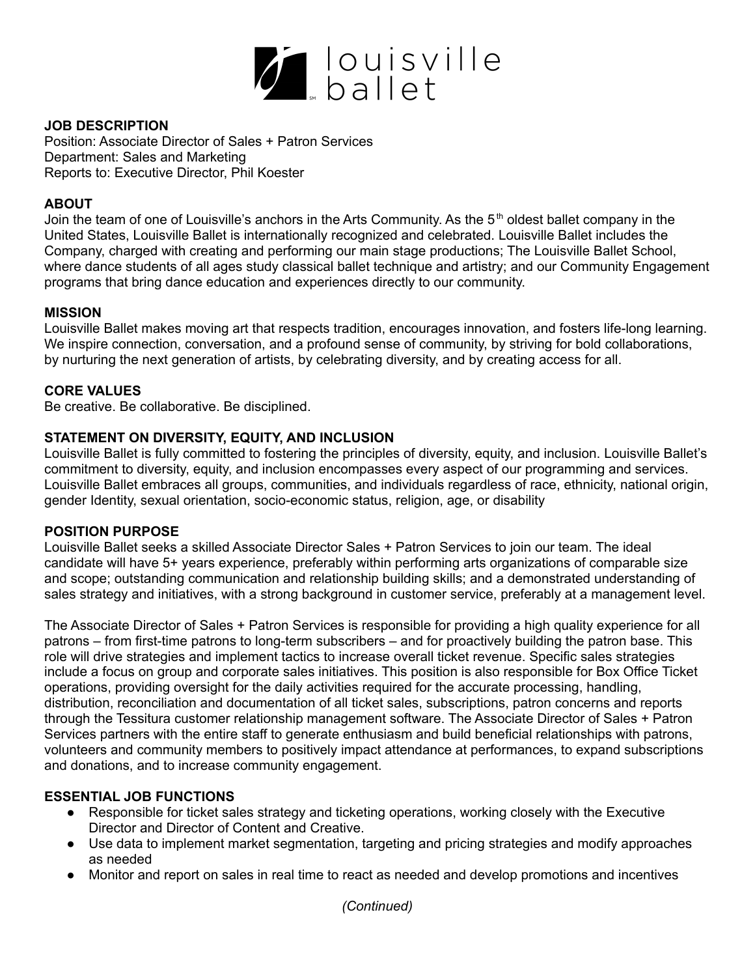

### **JOB DESCRIPTION**

Position: Associate Director of Sales + Patron Services Department: Sales and Marketing Reports to: Executive Director, Phil Koester

## **ABOUT**

Join the team of one of Louisville's anchors in the Arts Community. As the 5<sup>th</sup> oldest ballet company in the United States, Louisville Ballet is internationally recognized and celebrated. Louisville Ballet includes the Company, charged with creating and performing our main stage productions; The Louisville Ballet School, where dance students of all ages study classical ballet technique and artistry; and our Community Engagement programs that bring dance education and experiences directly to our community.

### **MISSION**

Louisville Ballet makes moving art that respects tradition, encourages innovation, and fosters life-long learning. We inspire connection, conversation, and a profound sense of community, by striving for bold collaborations, by nurturing the next generation of artists, by celebrating diversity, and by creating access for all.

### **CORE VALUES**

Be creative. Be collaborative. Be disciplined.

# **STATEMENT ON DIVERSITY, EQUITY, AND INCLUSION**

Louisville Ballet is fully committed to fostering the principles of diversity, equity, and inclusion. Louisville Ballet's commitment to diversity, equity, and inclusion encompasses every aspect of our programming and services. Louisville Ballet embraces all groups, communities, and individuals regardless of race, ethnicity, national origin, gender Identity, sexual orientation, socio-economic status, religion, age, or disability

### **POSITION PURPOSE**

Louisville Ballet seeks a skilled Associate Director Sales + Patron Services to join our team. The ideal candidate will have 5+ years experience, preferably within performing arts organizations of comparable size and scope; outstanding communication and relationship building skills; and a demonstrated understanding of sales strategy and initiatives, with a strong background in customer service, preferably at a management level.

The Associate Director of Sales + Patron Services is responsible for providing a high quality experience for all patrons – from first-time patrons to long-term subscribers – and for proactively building the patron base. This role will drive strategies and implement tactics to increase overall ticket revenue. Specific sales strategies include a focus on group and corporate sales initiatives. This position is also responsible for Box Office Ticket operations, providing oversight for the daily activities required for the accurate processing, handling, distribution, reconciliation and documentation of all ticket sales, subscriptions, patron concerns and reports through the Tessitura customer relationship management software. The Associate Director of Sales + Patron Services partners with the entire staff to generate enthusiasm and build beneficial relationships with patrons, volunteers and community members to positively impact attendance at performances, to expand subscriptions and donations, and to increase community engagement.

### **ESSENTIAL JOB FUNCTIONS**

- Responsible for ticket sales strategy and ticketing operations, working closely with the Executive Director and Director of Content and Creative.
- Use data to implement market segmentation, targeting and pricing strategies and modify approaches as needed
- Monitor and report on sales in real time to react as needed and develop promotions and incentives